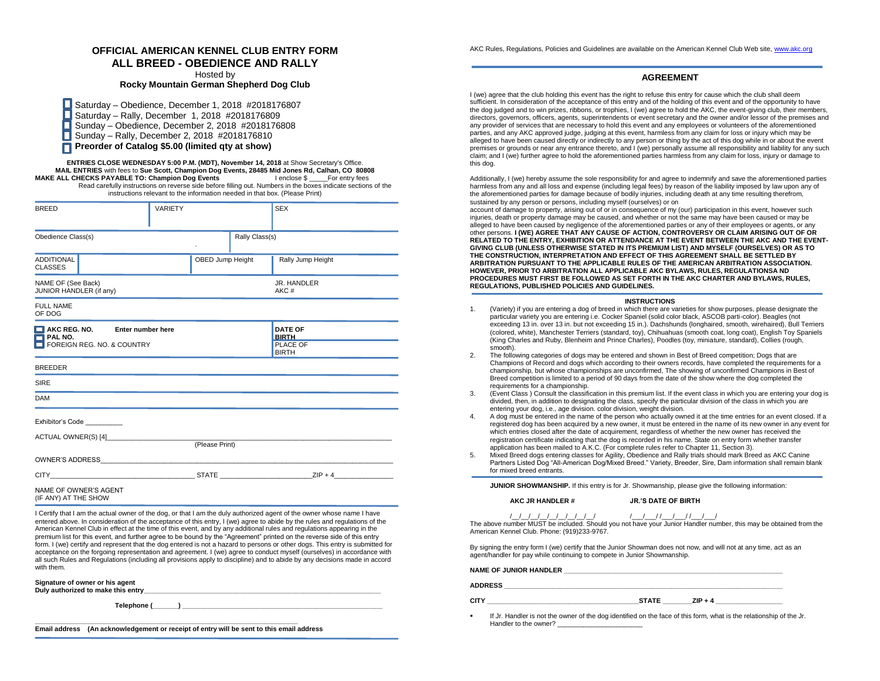# **OFFICIAL AMERICAN KENNEL CLUB ENTRY FORM ALL BREED - OBEDIENCE AND RALLY**

Hosted by

**Rocky Mountain German Shepherd Dog Club**

Saturday – Obedience, December 1, 2018 #2018176807 Saturday – Rally, December 1, 2018 #2018176809 Sunday – Obedience, December 2, 2018 #2018176808 П О Sunday – Rally, December 2, 2018 #2018176810 **Preorder of Catalog \$5.00 (limited qty at show)**

**ENTRIES CLOSE WEDNESDAY 5:00 P.M. (MDT), November 14, 2018** at Show Secretary's Office. **MAIL ENTRIES** with fees to **Sue Scott, Champion Dog Events, 28485 Mid Jones Rd, Calhan, CO 80808 MAKE ALL CHECKS PAYABLE TO: Champion Dog Events** Read carefully instructions on reverse side before filling out. Numbers in the boxes indicate sections of the

instructions relevant to the information needed in that box. (Please Print) BREED SEX IN VARIETY SEX

| Obedience Class(s)                                                                        |                  | Rally Class(s) |                                                            |
|-------------------------------------------------------------------------------------------|------------------|----------------|------------------------------------------------------------|
| <b>ADDITIONAL</b><br><b>CLASSES</b>                                                       | OBED Jump Height |                | Rally Jump Height                                          |
| NAME OF (See Back)<br>JUNIOR HANDLER (if any)                                             |                  |                | JR. HANDLER<br>AKC#                                        |
| <b>FULL NAME</b><br>OF DOG                                                                |                  |                |                                                            |
| AKC REG. NO.<br>Enter number here<br>$\blacksquare$ PAL NO.<br>FOREIGN REG. NO. & COUNTRY |                  |                | <b>DATE OF</b><br><b>BIRTH</b><br>PLACE OF<br><b>BIRTH</b> |
| <b>BREEDER</b>                                                                            |                  |                |                                                            |
| <b>SIRE</b>                                                                               |                  |                |                                                            |
| <b>DAM</b>                                                                                |                  |                |                                                            |
| Exhibitor's Code                                                                          |                  |                |                                                            |
| ACTUAL OWNER(S) [4] ________                                                              | (Please Print)   |                |                                                            |
| <b>OWNER'S ADDRESS</b>                                                                    |                  |                |                                                            |

CITY\_\_\_\_\_\_\_\_\_\_\_\_\_\_\_\_\_\_\_\_\_\_\_\_\_\_\_\_\_\_\_\_\_\_\_\_\_\_\_ STATE \_\_\_\_\_\_\_\_\_\_\_\_\_\_\_\_\_\_\_\_\_\_\_\_\_ZIP + 4\_\_\_\_\_\_\_\_\_\_\_\_\_\_\_\_

NAME OF OWNER'S AGENT (IF ANY) AT THE SHOW

I Certify that I am the actual owner of the dog, or that I am the duly authorized agent of the owner whose name I have entered above. In consideration of the acceptance of this entry, I (we) agree to abide by the rules and regulations of the American Kennel Club in effect at the time of this event, and by any additional rules and regulations appearing in the premium list for this event, and further agree to be bound by the "Agreement" printed on the reverse side of this entry form. I (we) certify and represent that the dog entered is not a hazard to persons or other dogs. This entry is submitted for acceptance on the forgoing representation and agreement. I (we) agree to conduct myself (ourselves) in accordance with all such Rules and Regulations (including all provisions apply to discipline) and to abide by any decisions made in accord with them.

**Signature of owner or his agent**

Duly authorized to make this entry

Telephone (

**\_\_\_\_\_\_\_\_\_\_\_\_\_\_\_\_\_\_\_\_\_\_\_\_\_\_\_\_\_\_\_\_\_\_\_\_\_\_\_\_\_\_\_\_\_\_\_\_\_\_\_\_\_\_\_\_\_\_\_\_\_\_\_\_\_\_\_\_\_\_\_**

**Email address (An acknowledgement or receipt of entry will be sent to this email address**

AKC Rules, Regulations, Policies and Guidelines are available on the American Kennel Club Web site[, www.akc.org](http://www.akc.org/)

### **AGREEMENT**

I (we) agree that the club holding this event has the right to refuse this entry for cause which the club shall deem sufficient. In consideration of the acceptance of this entry and of the holding of this event and of the opportunity to have the dog judged and to win prizes, ribbons, or trophies, I (we) agree to hold the AKC, the event-giving club, their members, directors, governors, officers, agents, superintendents or event secretary and the owner and/or lessor of the premises and any provider of services that are necessary to hold this event and any employees or volunteers of the aforementioned parties, and any AKC approved judge, judging at this event, harmless from any claim for loss or injury which may be alleged to have been caused directly or indirectly to any person or thing by the act of this dog while in or about the event premises or grounds or near any entrance thereto, and I (we) personally assume all responsibility and liability for any such claim; and I (we) further agree to hold the aforementioned parties harmless from any claim for loss, injury or damage to this dog.

Additionally, I (we) hereby assume the sole responsibility for and agree to indemnify and save the aforementioned parties harmless from any and all loss and expense (including legal fees) by reason of the liability imposed by law upon any of the aforementioned parties for damage because of bodily injuries, including death at any time resulting therefrom, sustained by any person or persons, including myself (ourselves) or on

account of damage to property, arising out of or in consequence of my (our) participation in this event, however such injuries, death or property damage may be caused, and whether or not the same may have been caused or may be alleged to have been caused by negligence of the aforementioned parties or any of their employees or agents, or any other persons. **I (WE) AGREE THAT ANY CAUSE OF ACTION, CONTROVERSY OR CLAIM ARISING OUT OF OR RELATED TO THE ENTRY, EXHIBITION OR ATTENDANCE AT THE EVENT BETWEEN THE AKC AND THE EVENT-GIVING CLUB (UNLESS OTHERWISE STATED IN ITS PREMIUM LIST) AND MYSELF (OURSELVES) OR AS TO THE CONSTRUCTION, INTERPRETATION AND EFFECT OF THIS AGREEMENT SHALL BE SETTLED BY ARBITRATION PURSUANT TO THE APPLICABLE RULES OF THE AMERICAN ARBITRATION ASSOCIATION. HOWEVER, PRIOR TO ARBITRATION ALL APPLICABLE AKC BYLAWS, RULES, REGULATIONSA ND PROCEDURES MUST FIRST BE FOLLOWED AS SET FORTH IN THE AKC CHARTER AND BYLAWS, RULES, REGULATIONS, PUBLISHED POLICIES AND GUIDELINES.**

#### **INSTRUCTIONS**

- 1. (Variety) if you are entering a dog of breed in which there are varieties for show purposes, please designate the particular variety you are entering i.e. Cocker Spaniel (solid color black, ASCOB parti-color). Beagles (not exceeding 13 in. over 13 in. but not exceeding 15 in.). Dachshunds (longhaired, smooth, wirehaired), Bull Terriers (colored, white), Manchester Terriers (standard, toy), Chihuahuas (smooth coat, long coat), English Toy Spaniels (King Charles and Ruby, Blenheim and Prince Charles), Poodles (toy, miniature, standard), Collies (rough, smooth).
- 2. The following categories of dogs may be entered and shown in Best of Breed competition; Dogs that are Champions of Record and dogs which according to their owners records, have completed the requirements for a championship, but whose championships are unconfirmed, The showing of unconfirmed Champions in Best of Breed competition is limited to a period of 90 days from the date of the show where the dog completed the requirements for a championship.
- 3. (Event Class ) Consult the classification in this premium list. If the event class in which you are entering your dog is divided, then, in addition to designating the class, specify the particular division of the class in which you are entering your dog, i.e., age division. color division, weight division.
- 4. A dog must be entered in the name of the person who actually owned it at the time entries for an event closed. If a registered dog has been acquired by a new owner, it must be entered in the name of its new owner in any event for which entries closed after the date of acquirement, regardless of whether the new owner has received the registration certificate indicating that the dog is recorded in his name. State on entry form whether transfer application has been mailed to A.K.C. (For complete rules refer to Chapter 11, Section 3).
- 5. Mixed Breed dogs entering classes for Agility, Obedience and Rally trials should mark Breed as AKC Canine Partners Listed Dog "All-American Dog/Mixed Breed." Variety, Breeder, Sire, Dam information shall remain blank for mixed breed entrants.

**JUNIOR SHOWMANSHIP.** If this entry is for Jr. Showmanship, please give the following information:

**AKC JR HANDLER # JR.'S DATE OF BIRTH**

/\_\_/\_\_/\_\_/\_\_/\_\_/\_\_/\_\_/\_\_/\_\_/ /\_\_\_/\_\_\_/ /\_\_\_/\_\_\_/ /\_\_\_/\_\_\_/

The above number MUST be included. Should you not have your Junior Handler number, this may be obtained from the American Kennel Club. Phone: (919)233-9767.

By signing the entry form I (we) certify that the Junior Showman does not now, and will not at any time, act as an agent/handler for pay while continuing to compete in Junior Showmanship.

NAME OF JUNIOR HANDLER

**ADDRESS \_\_\_\_\_\_\_\_\_\_\_\_\_\_\_\_\_\_\_\_\_\_\_\_\_\_\_\_\_\_\_\_\_\_\_\_\_\_\_\_\_\_\_\_\_\_\_\_\_\_\_\_\_\_\_\_\_\_\_\_\_\_\_\_\_\_\_\_\_\_\_\_\_\_\_**

**CITY CITY CITY CITY CITY CITY CITY CITY CITY CITY CITY CITY CITY CITY CITY CITY CITY CITY CITY CITY CITY CITY CITY CITY CITY CITY CITY CITY CITY CITY CITY CITY** 

If Jr. Handler is not the owner of the dog identified on the face of this form, what is the relationship of the Jr. Handler to the owner?